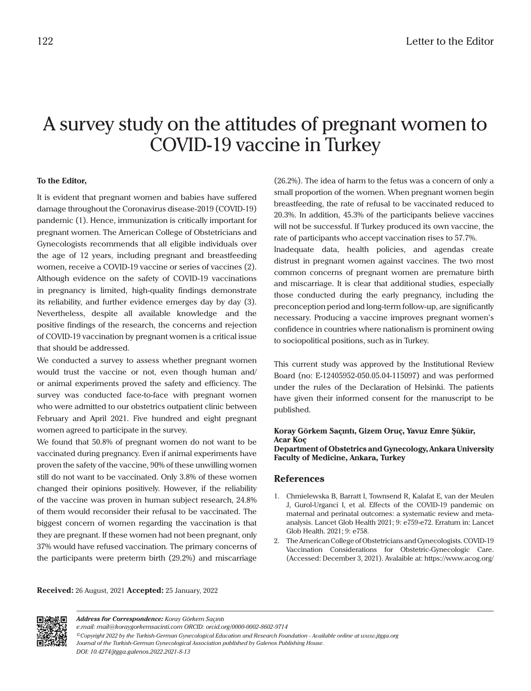## A survey study on the attitudes of pregnant women to COVID-19 vaccine in Turkey

## **To the Editor,**

It is evident that pregnant women and babies have suffered damage throughout the Coronavirus disease-2019 (COVID-19) pandemic (1). Hence, immunization is critically important for pregnant women. The American College of Obstetricians and Gynecologists recommends that all eligible individuals over the age of 12 years, including pregnant and breastfeeding women, receive a COVID-19 vaccine or series of vaccines (2). Although evidence on the safety of COVID-19 vaccinations in pregnancy is limited, high-quality findings demonstrate its reliability, and further evidence emerges day by day (3). Nevertheless, despite all available knowledge and the positive findings of the research, the concerns and rejection of COVID-19 vaccination by pregnant women is a critical issue that should be addressed.

We conducted a survey to assess whether pregnant women would trust the vaccine or not, even though human and/ or animal experiments proved the safety and efficiency. The survey was conducted face-to-face with pregnant women who were admitted to our obstetrics outpatient clinic between February and April 2021. Five hundred and eight pregnant women agreed to participate in the survey.

We found that 50.8% of pregnant women do not want to be vaccinated during pregnancy. Even if animal experiments have proven the safety of the vaccine, 90% of these unwilling women still do not want to be vaccinated. Only 3.8% of these women changed their opinions positively. However, if the reliability of the vaccine was proven in human subject research, 24.8% of them would reconsider their refusal to be vaccinated. The biggest concern of women regarding the vaccination is that they are pregnant. If these women had not been pregnant, only 37% would have refused vaccination. The primary concerns of the participants were preterm birth (29.2%) and miscarriage

(26.2%). The idea of harm to the fetus was a concern of only a small proportion of the women. When pregnant women begin breastfeeding, the rate of refusal to be vaccinated reduced to 20.3%. In addition, 45.3% of the participants believe vaccines will not be successful. If Turkey produced its own vaccine, the rate of participants who accept vaccination rises to 57.7%.

Inadequate data, health policies, and agendas create distrust in pregnant women against vaccines. The two most common concerns of pregnant women are premature birth and miscarriage. It is clear that additional studies, especially those conducted during the early pregnancy, including the preconception period and long-term follow-up, are significantly necessary. Producing a vaccine improves pregnant women's confidence in countries where nationalism is prominent owing to sociopolitical positions, such as in Turkey.

This current study was approved by the Institutional Review Board (no: E-12405952-050.05.04-115097) and was performed under the rules of the Declaration of Helsinki. The patients have given their informed consent for the manuscript to be published.

## **[Koray Görkem Saçıntı,](https://orcid.org/0000-0002-8602-9714) [Gizem Oruç](https://orcid.org/0000-0002-9364-1127), [Yavuz Emre Şükür,](https://orcid.org/0000-0003-0815-3522) [Acar Koç](https://orcid.org/0000-0003-2482-7478) Department of Obstetrics and Gynecology, Ankara University Faculty of Medicine, Ankara, Turkey**

## **References**

- 1. Chmielewska B, Barratt I, Townsend R, Kalafat E, van der Meulen J, Gurol-Urganci I, et al. Effects of the COVID-19 pandemic on maternal and perinatal outcomes: a systematic review and metaanalysis. Lancet Glob Health 2021; 9: e759-e72. Erratum in: Lancet Glob Health. 2021; 9: e758.
- 2. The American College of Obstetricians and Gynecologists. COVID-19 Vaccination Considerations for Obstetric-Gynecologic Care. (Accessed: December 3, 2021). Avalaible at: https://www.acog.org/

**Received:** 26 August, 2021 **Accepted:** 25 January, 2022



*Address for Correspondence: Koray Görkem Saçıntı*

*e.mail: mail@koraygorkemsacinti.com ORCID: orcid.org/0000-0002-8602-9714*

*©Copyright 2022 by the Turkish-German Gynecological Education and Research Foundation - Available online at www.jtgga.org Journal of the Turkish-German Gynecological Association published by Galenos Publishing House.*

*DOI: 10.4274/jtgga.galenos.2022.2021-8-13*